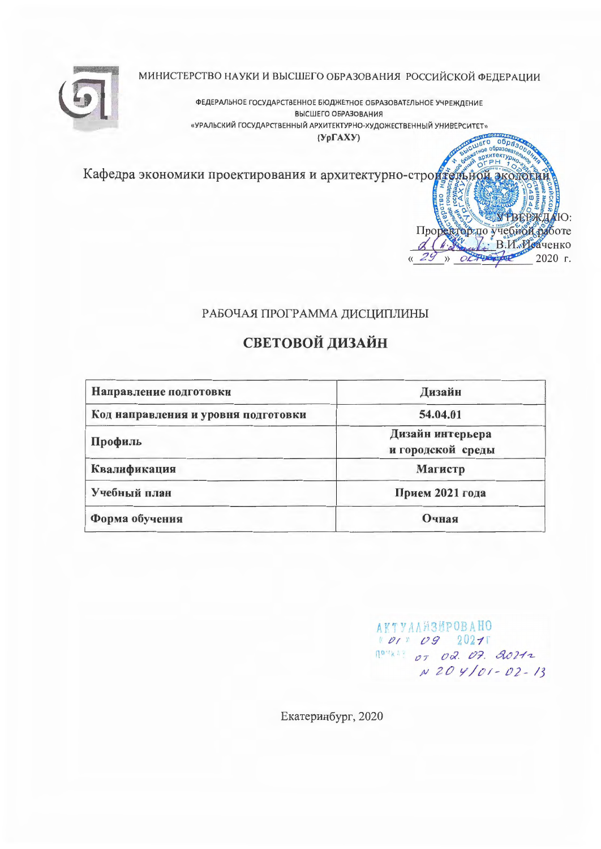МИНИСТЕРСТВО НАУКИ И ВЫСШЕГО ОБРАЗОВАНИЯ РОССИЙСКОЙ ФЕДЕРАЦИИ



ФЕДЕРАЛЬНОЕ ГОСУДАРСТВЕННОЕ БЮДЖЕТНОЕ ОБРАЗОВАТЕЛЬНОЕ УЧРЕЖДЕНИЕ ВЫСШЕГО ОБРАЗОВАНИЯ «УРАЛЬСКИЙ ГОСУДАРСТВЕННЫЙ АРХИТЕКТУРНО-ХУДОЖЕСТВЕННЫЙ УНИВЕРСИТЕТ»

 $(Yp\Gamma A X Y)$ 

Кафедра экономики проектирования и архитектурно-строительной экономики

### РАБОЧАЯ ПРОГРАММА ДИСЦИПЛИНЫ

# СВЕТОВОЙ ДИЗАЙН

| Направление подготовки              | Дизайн                                |
|-------------------------------------|---------------------------------------|
| Код направления и уровня подготовки | 54.04.01                              |
| Профиль                             | Дизайн интерьера<br>и городской среды |
| Квалификация                        | Магистр                               |
| Учебный план                        | Прием 2021 года                       |
| Форма обучения                      | Очная                                 |

**АКТУАЛИЗИРОВАНО**  $10120920211$  $10^{10}$  kill 07 02. 07. 20212  $N204/01 - 02 - 13$ 

образ образ итектур

Проректор по учебной работе & (A De B.H. MOASTEHKO » ORTBEFORD 2020 F.

УРВЕРЖДАЮ:

Екатеринбург, 2020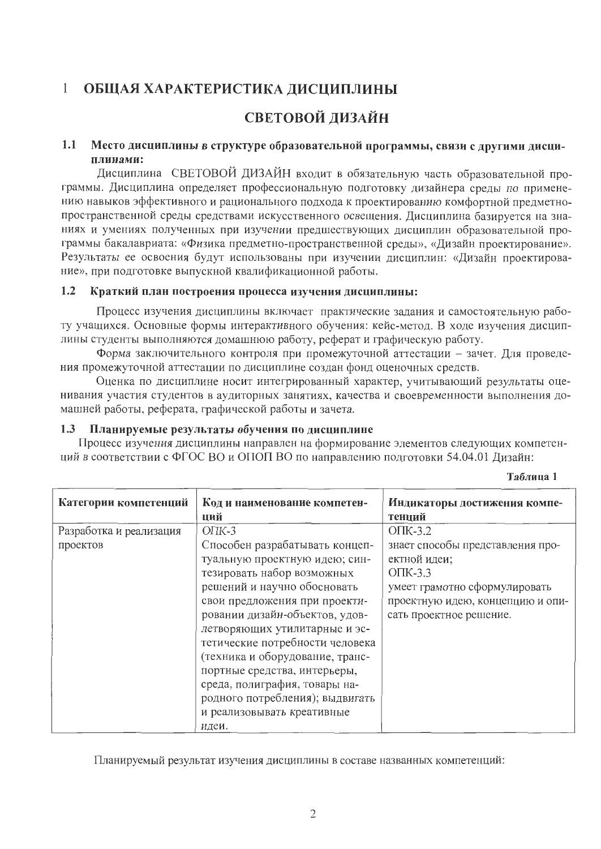### $\mathbf{1}$ ОБЩАЯ ХАРАКТЕРИСТИКА ДИСЦИПЛИНЫ

# СВЕТОВОЙ ДИЗАЙН

### $1.1$ Место дисциплины в структуре образовательной программы, связи с другими дисциплинами:

Дисциплина СВЕТОВОЙ ДИЗАЙН входит в обязательную часть образовательной программы. Дисциплина определяет профессиональную подготовку дизайнера среды по применению навыков эффективного и рационального подхода к проектированию комфортной предметнопространственной среды средствами искусственного освещения. Дисциплина базируется на знаниях и умениях полученных при изучении предшествующих дисциплин образовательной программы бакалавриата: «Физика предметно-пространственной среды», «Дизайн проектирование». Результаты ее освоения будут использованы при изучении дисциплин: «Дизайн проектирование», при подготовке выпускной квалификационной работы.

#### $1.2$ Краткий план построения процесса изучения дисциплины:

Процесс изучения дисциплины включает практические задания и самостоятельную работу учащихся. Основные формы интерактивного обучения: кейс-метод. В ходе изучения дисциплины студенты выполняются домашнюю работу, реферат и графическую работу.

Форма заключительного контроля при промежуточной аттестации - зачет. Для проведения промежуточной аттестации по дисциплине создан фонд оценочных средств.

Оценка по дисциплине носит интегрированный характер, учитывающий результаты оценивания участия студентов в аудиторных занятиях, качества и своевременности выполнения домашней работы, реферата, графической работы и зачета.

#### Планируемые результаты обучения по дисциплине  $1.3$

Процесс изучения дисциплины направлен на формирование элементов следующих компетенций в соответствии с ФГОС ВО и ОПОП ВО по направлению подготовки 54.04.01 Дизайн:

| Таблица |  |
|---------|--|
|         |  |

| Категории компетенций   | Код и наименование компетен-<br>ций | Индикаторы достижения компе-<br>тенций |
|-------------------------|-------------------------------------|----------------------------------------|
| Разработка и реализация | $O\Pi K-3$                          | $O$ $TK-3.2$                           |
| проектов                | Способен разрабатывать концеп-      | знает способы представления про-       |
|                         | туальную проектную идею; син-       | ектной идеи;                           |
|                         | тезировать набор возможных          | $O$ $TK-3.3$                           |
|                         | решений и научно обосновать         | умеет грамотно сформулировать          |
|                         | свои предложения при проекти-       | проектную идею, концепцию и опи-       |
|                         | ровании дизайн-объектов, удов-      | сать проектное решение.                |
|                         | летворяющих утилитарные и эс-       |                                        |
|                         | тетические потребности человека     |                                        |
|                         | (техника и оборудование, транс-     |                                        |
|                         | портные средства, интерьеры,        |                                        |
|                         | среда, полиграфия, товары на-       |                                        |
|                         | родного потребления); выдвигать     |                                        |
|                         | и реализовывать креативные          |                                        |
|                         | идеи.                               |                                        |

Планируемый результат изучения дисциплины в составе названных компетенций: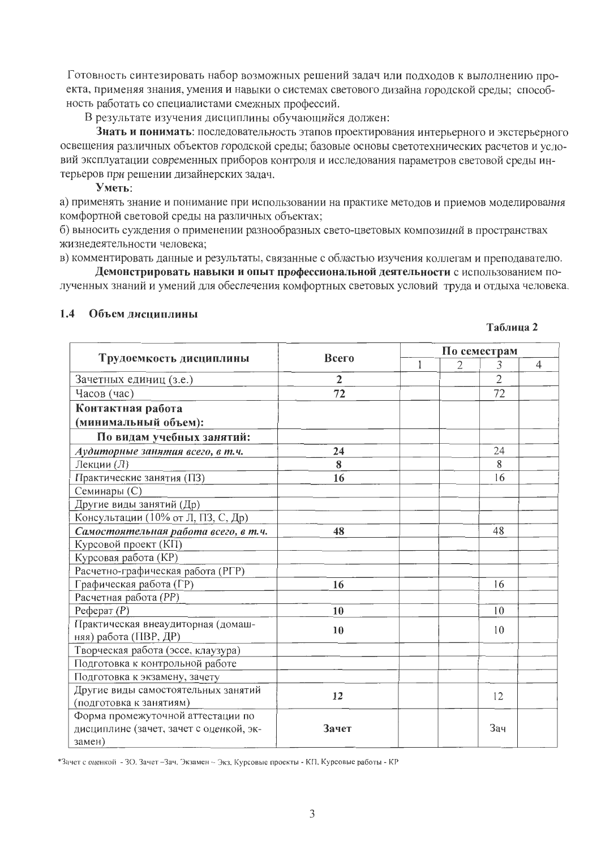Готовность синтезировать набор возможных решений задач или подходов к выполнению проекта, применяя знания, умения и навыки о системах светового дизайна городской среды; способность работать со специалистами смежных профессий.

В результате изучения дисциплины обучающийся должен:

Знать и понимать: последовательность этапов проектирования интерьерного и экстерьерного освещения различных объектов городской среды; базовые основы светотехнических расчетов и условий эксплуатации современных приборов контроля и исследования параметров световой среды интерьеров при решении дизайнерских задач.

Уметь:

а) применять знание и понимание при использовании на практике методов и приемов моделирования комфортной световой среды на различных объектах;

б) выносить суждения о применении разнообразных свето-цветовых композиций в пространствах жизнедеятельности человека;

в) комментировать данные и результаты, связанные с областью изучения коллегам и преподавателю.

Демонстрировать навыки и опыт профессиональной деятельности с использованием полученных знаний и умений для обеспечения комфортных световых условий труда и отдыха человека.

#### $1.4$ Объем лиспиплины

| Таблица 2 |  |
|-----------|--|
|-----------|--|

|                                         |                |   | По семестрам   |                |                |  |  |  |
|-----------------------------------------|----------------|---|----------------|----------------|----------------|--|--|--|
| Трудоемкость дисциплины                 | Всего          | 1 | $\overline{2}$ | 3              | $\overline{4}$ |  |  |  |
| Зачетных единиц (з.е.)                  | $\overline{2}$ |   |                | $\overline{2}$ |                |  |  |  |
| Часов (час)                             | 72             |   |                | 72             |                |  |  |  |
| Контактная работа                       |                |   |                |                |                |  |  |  |
| (минимальный объем):                    |                |   |                |                |                |  |  |  |
| По видам учебных занятий:               |                |   |                |                |                |  |  |  |
| Аудиторные занятия всего, в т.ч.        | 24             |   |                | 24             |                |  |  |  |
| Лекции (Л)                              | 8              |   |                | 8              |                |  |  |  |
| Практические занятия (ПЗ)               | 16             |   |                | 16             |                |  |  |  |
| Семинары (С)                            |                |   |                |                |                |  |  |  |
| Другие виды занятий (Др)                |                |   |                |                |                |  |  |  |
| Консультации (10% от Л, ПЗ, С, Др)      |                |   |                |                |                |  |  |  |
| Самостоятельная работа всего, в т.ч.    | 48             |   |                | 48             |                |  |  |  |
| Курсовой проект (КП)                    |                |   |                |                |                |  |  |  |
| Курсовая работа (КР)                    |                |   |                |                |                |  |  |  |
| Расчетно-графическая работа (РГР)       |                |   |                |                |                |  |  |  |
| Графическая работа (ГР)                 | 16             |   |                | 16             |                |  |  |  |
| Расчетная работа (РР)                   |                |   |                |                |                |  |  |  |
| $Pe$ ферат $(P)$                        | 10             |   |                | 10             |                |  |  |  |
| Практическая внеаудиторная (домаш-      | 10             |   |                | 10             |                |  |  |  |
| няя) работа (ПВР, ДР)                   |                |   |                |                |                |  |  |  |
| Творческая работа (эссе, клаузура)      |                |   |                |                |                |  |  |  |
| Подготовка к контрольной работе         |                |   |                |                |                |  |  |  |
| Подготовка к экзамену, зачету           |                |   |                |                |                |  |  |  |
| Другие виды самостоятельных занятий     | 12             |   |                | 12             |                |  |  |  |
| (подготовка к занятиям)                 |                |   |                |                |                |  |  |  |
| Форма промежуточной аттестации по       |                |   |                |                |                |  |  |  |
| дисциплине (зачет, зачет с оценкой, эк- | Зачет          |   |                | Зач            |                |  |  |  |
| замен)                                  |                |   |                |                |                |  |  |  |

\*Зачет с оценкой - ЗО. Зачет - Зач, Экзамен - Экз, Курсовые проекты - КП, Курсовые работы - КР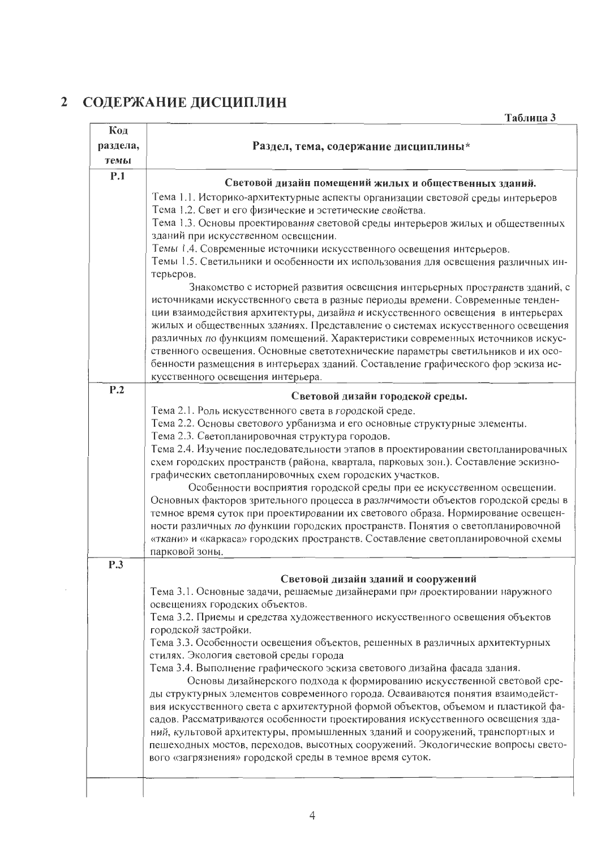# 2 СОДЕРЖАНИЕ ДИСЦИПЛИН

| Код<br>Раздел, тема, содержание дисциплины*<br>раздела,<br>темы<br>P.1<br>Световой дизайн помещений жилых и общественных зданий.<br>Тема 1.1. Историко-архитектурные аспекты организации световой среды интерьеров<br>Тема 1.2. Свет и его физические и эстетические свойства.<br>Тема 1.3. Основы проектирования световой среды интерьеров жилых и общественных<br>зданий при искусственном освещении.<br>Темы 1.4. Современные источники искусственного освещения интерьеров.<br>Темы 1.5. Светильники и особенности их использования для освещения различных ин-<br>терьеров.<br>Знакомство с историей развития освещения интерьерных пространств зданий, с<br>источниками искусственного света в разные периоды времени. Современные тенден-<br>ции взаимодействия архитектуры, дизайна и искусственного освещения в интерьерах<br>жилых и общественных зданиях. Представление о системах искусственного освещения<br>различных по функциям помещений. Характеристики современных источников искус-<br>ственного освещения. Основные светотехнические параметры светильников и их осо-<br>бенности размещения в интерьерах зданий. Составление графического фор эскиза ис-<br>кусственного освещения интерьера.<br>P.2<br>Световой дизайн городской среды.<br>Тема 2.1. Роль искусственного света в городской среде.<br>Тема 2.2. Основы светового урбанизма и его основные структурные элементы.<br>Тема 2.3. Светопланировочная структура городов.<br>Тема 2.4. Изучение последовательности этапов в проектировании светопланировачных<br>схем городских пространств (района, квартала, парковых зон.). Составление эскизно-<br>графических светопланировочных схем городских участков.<br>Особенности восприятия городской среды при ее искусственном освещении.<br>Основных факторов зрительного процесса в различимости объектов городской среды в<br>темное время суток при проектировании их светового образа. Нормирование освещен-<br>ности различных по функции городских пространств. Понятия о светопланировочной<br>«ткани» и «каркаса» городских пространств. Составление светопланировочной схемы<br>парковой зоны.<br>P.3<br>Световой дизайн зданий и сооружений<br>Тема 3.1. Основные задачи, решаемые дизайнерами при проектировании наружного<br>освещениях городских объектов.<br>Тема 3.2. Приемы и средства художественного искусственного освещения объектов<br>городской застройки.<br>Тема 3.3. Особенности освещения объектов, решенных в различных архитектурных<br>стилях. Экология световой среды города<br>Тема 3.4. Выполнение графического эскиза светового дизайна фасада здания.<br>Основы дизайнерского подхода к формированию искусственной световой сре-<br>ды структурных элементов современного города. Осваиваются понятия взаимодейст-<br>вия искусственного света с архитектурной формой объектов, объемом и пластикой фа-<br>садов. Рассматриваются особенности проектирования искусственного освещения зда-<br>ний, культовой архитектуры, промышленных зданий и сооружений, транспортных и<br>пешеходных мостов, переходов, высотных сооружений. Экологические вопросы свето-<br>вого «загрязнения» городской среды в темное время суток. | Таблица З |
|--------------------------------------------------------------------------------------------------------------------------------------------------------------------------------------------------------------------------------------------------------------------------------------------------------------------------------------------------------------------------------------------------------------------------------------------------------------------------------------------------------------------------------------------------------------------------------------------------------------------------------------------------------------------------------------------------------------------------------------------------------------------------------------------------------------------------------------------------------------------------------------------------------------------------------------------------------------------------------------------------------------------------------------------------------------------------------------------------------------------------------------------------------------------------------------------------------------------------------------------------------------------------------------------------------------------------------------------------------------------------------------------------------------------------------------------------------------------------------------------------------------------------------------------------------------------------------------------------------------------------------------------------------------------------------------------------------------------------------------------------------------------------------------------------------------------------------------------------------------------------------------------------------------------------------------------------------------------------------------------------------------------------------------------------------------------------------------------------------------------------------------------------------------------------------------------------------------------------------------------------------------------------------------------------------------------------------------------------------------------------------------------------------------------------------------------------------------------------------------------------------------------------------------------------------------------------------------------------------------------------------------------------------------------------------------------------------------------------------------------------------------------------------------------------------------------------------------------------------------------------------------------------------------------------------------------------------------------------------------------------------------------------------------------------------------------------------------------------------------------------------------------------------------------------------------------|-----------|
|                                                                                                                                                                                                                                                                                                                                                                                                                                                                                                                                                                                                                                                                                                                                                                                                                                                                                                                                                                                                                                                                                                                                                                                                                                                                                                                                                                                                                                                                                                                                                                                                                                                                                                                                                                                                                                                                                                                                                                                                                                                                                                                                                                                                                                                                                                                                                                                                                                                                                                                                                                                                                                                                                                                                                                                                                                                                                                                                                                                                                                                                                                                                                                                            |           |
|                                                                                                                                                                                                                                                                                                                                                                                                                                                                                                                                                                                                                                                                                                                                                                                                                                                                                                                                                                                                                                                                                                                                                                                                                                                                                                                                                                                                                                                                                                                                                                                                                                                                                                                                                                                                                                                                                                                                                                                                                                                                                                                                                                                                                                                                                                                                                                                                                                                                                                                                                                                                                                                                                                                                                                                                                                                                                                                                                                                                                                                                                                                                                                                            |           |
|                                                                                                                                                                                                                                                                                                                                                                                                                                                                                                                                                                                                                                                                                                                                                                                                                                                                                                                                                                                                                                                                                                                                                                                                                                                                                                                                                                                                                                                                                                                                                                                                                                                                                                                                                                                                                                                                                                                                                                                                                                                                                                                                                                                                                                                                                                                                                                                                                                                                                                                                                                                                                                                                                                                                                                                                                                                                                                                                                                                                                                                                                                                                                                                            |           |
|                                                                                                                                                                                                                                                                                                                                                                                                                                                                                                                                                                                                                                                                                                                                                                                                                                                                                                                                                                                                                                                                                                                                                                                                                                                                                                                                                                                                                                                                                                                                                                                                                                                                                                                                                                                                                                                                                                                                                                                                                                                                                                                                                                                                                                                                                                                                                                                                                                                                                                                                                                                                                                                                                                                                                                                                                                                                                                                                                                                                                                                                                                                                                                                            |           |
|                                                                                                                                                                                                                                                                                                                                                                                                                                                                                                                                                                                                                                                                                                                                                                                                                                                                                                                                                                                                                                                                                                                                                                                                                                                                                                                                                                                                                                                                                                                                                                                                                                                                                                                                                                                                                                                                                                                                                                                                                                                                                                                                                                                                                                                                                                                                                                                                                                                                                                                                                                                                                                                                                                                                                                                                                                                                                                                                                                                                                                                                                                                                                                                            |           |
|                                                                                                                                                                                                                                                                                                                                                                                                                                                                                                                                                                                                                                                                                                                                                                                                                                                                                                                                                                                                                                                                                                                                                                                                                                                                                                                                                                                                                                                                                                                                                                                                                                                                                                                                                                                                                                                                                                                                                                                                                                                                                                                                                                                                                                                                                                                                                                                                                                                                                                                                                                                                                                                                                                                                                                                                                                                                                                                                                                                                                                                                                                                                                                                            |           |
|                                                                                                                                                                                                                                                                                                                                                                                                                                                                                                                                                                                                                                                                                                                                                                                                                                                                                                                                                                                                                                                                                                                                                                                                                                                                                                                                                                                                                                                                                                                                                                                                                                                                                                                                                                                                                                                                                                                                                                                                                                                                                                                                                                                                                                                                                                                                                                                                                                                                                                                                                                                                                                                                                                                                                                                                                                                                                                                                                                                                                                                                                                                                                                                            |           |
|                                                                                                                                                                                                                                                                                                                                                                                                                                                                                                                                                                                                                                                                                                                                                                                                                                                                                                                                                                                                                                                                                                                                                                                                                                                                                                                                                                                                                                                                                                                                                                                                                                                                                                                                                                                                                                                                                                                                                                                                                                                                                                                                                                                                                                                                                                                                                                                                                                                                                                                                                                                                                                                                                                                                                                                                                                                                                                                                                                                                                                                                                                                                                                                            |           |
|                                                                                                                                                                                                                                                                                                                                                                                                                                                                                                                                                                                                                                                                                                                                                                                                                                                                                                                                                                                                                                                                                                                                                                                                                                                                                                                                                                                                                                                                                                                                                                                                                                                                                                                                                                                                                                                                                                                                                                                                                                                                                                                                                                                                                                                                                                                                                                                                                                                                                                                                                                                                                                                                                                                                                                                                                                                                                                                                                                                                                                                                                                                                                                                            |           |
|                                                                                                                                                                                                                                                                                                                                                                                                                                                                                                                                                                                                                                                                                                                                                                                                                                                                                                                                                                                                                                                                                                                                                                                                                                                                                                                                                                                                                                                                                                                                                                                                                                                                                                                                                                                                                                                                                                                                                                                                                                                                                                                                                                                                                                                                                                                                                                                                                                                                                                                                                                                                                                                                                                                                                                                                                                                                                                                                                                                                                                                                                                                                                                                            |           |
|                                                                                                                                                                                                                                                                                                                                                                                                                                                                                                                                                                                                                                                                                                                                                                                                                                                                                                                                                                                                                                                                                                                                                                                                                                                                                                                                                                                                                                                                                                                                                                                                                                                                                                                                                                                                                                                                                                                                                                                                                                                                                                                                                                                                                                                                                                                                                                                                                                                                                                                                                                                                                                                                                                                                                                                                                                                                                                                                                                                                                                                                                                                                                                                            |           |
|                                                                                                                                                                                                                                                                                                                                                                                                                                                                                                                                                                                                                                                                                                                                                                                                                                                                                                                                                                                                                                                                                                                                                                                                                                                                                                                                                                                                                                                                                                                                                                                                                                                                                                                                                                                                                                                                                                                                                                                                                                                                                                                                                                                                                                                                                                                                                                                                                                                                                                                                                                                                                                                                                                                                                                                                                                                                                                                                                                                                                                                                                                                                                                                            |           |
|                                                                                                                                                                                                                                                                                                                                                                                                                                                                                                                                                                                                                                                                                                                                                                                                                                                                                                                                                                                                                                                                                                                                                                                                                                                                                                                                                                                                                                                                                                                                                                                                                                                                                                                                                                                                                                                                                                                                                                                                                                                                                                                                                                                                                                                                                                                                                                                                                                                                                                                                                                                                                                                                                                                                                                                                                                                                                                                                                                                                                                                                                                                                                                                            |           |
|                                                                                                                                                                                                                                                                                                                                                                                                                                                                                                                                                                                                                                                                                                                                                                                                                                                                                                                                                                                                                                                                                                                                                                                                                                                                                                                                                                                                                                                                                                                                                                                                                                                                                                                                                                                                                                                                                                                                                                                                                                                                                                                                                                                                                                                                                                                                                                                                                                                                                                                                                                                                                                                                                                                                                                                                                                                                                                                                                                                                                                                                                                                                                                                            |           |
|                                                                                                                                                                                                                                                                                                                                                                                                                                                                                                                                                                                                                                                                                                                                                                                                                                                                                                                                                                                                                                                                                                                                                                                                                                                                                                                                                                                                                                                                                                                                                                                                                                                                                                                                                                                                                                                                                                                                                                                                                                                                                                                                                                                                                                                                                                                                                                                                                                                                                                                                                                                                                                                                                                                                                                                                                                                                                                                                                                                                                                                                                                                                                                                            |           |
|                                                                                                                                                                                                                                                                                                                                                                                                                                                                                                                                                                                                                                                                                                                                                                                                                                                                                                                                                                                                                                                                                                                                                                                                                                                                                                                                                                                                                                                                                                                                                                                                                                                                                                                                                                                                                                                                                                                                                                                                                                                                                                                                                                                                                                                                                                                                                                                                                                                                                                                                                                                                                                                                                                                                                                                                                                                                                                                                                                                                                                                                                                                                                                                            |           |
|                                                                                                                                                                                                                                                                                                                                                                                                                                                                                                                                                                                                                                                                                                                                                                                                                                                                                                                                                                                                                                                                                                                                                                                                                                                                                                                                                                                                                                                                                                                                                                                                                                                                                                                                                                                                                                                                                                                                                                                                                                                                                                                                                                                                                                                                                                                                                                                                                                                                                                                                                                                                                                                                                                                                                                                                                                                                                                                                                                                                                                                                                                                                                                                            |           |
|                                                                                                                                                                                                                                                                                                                                                                                                                                                                                                                                                                                                                                                                                                                                                                                                                                                                                                                                                                                                                                                                                                                                                                                                                                                                                                                                                                                                                                                                                                                                                                                                                                                                                                                                                                                                                                                                                                                                                                                                                                                                                                                                                                                                                                                                                                                                                                                                                                                                                                                                                                                                                                                                                                                                                                                                                                                                                                                                                                                                                                                                                                                                                                                            |           |
|                                                                                                                                                                                                                                                                                                                                                                                                                                                                                                                                                                                                                                                                                                                                                                                                                                                                                                                                                                                                                                                                                                                                                                                                                                                                                                                                                                                                                                                                                                                                                                                                                                                                                                                                                                                                                                                                                                                                                                                                                                                                                                                                                                                                                                                                                                                                                                                                                                                                                                                                                                                                                                                                                                                                                                                                                                                                                                                                                                                                                                                                                                                                                                                            |           |
|                                                                                                                                                                                                                                                                                                                                                                                                                                                                                                                                                                                                                                                                                                                                                                                                                                                                                                                                                                                                                                                                                                                                                                                                                                                                                                                                                                                                                                                                                                                                                                                                                                                                                                                                                                                                                                                                                                                                                                                                                                                                                                                                                                                                                                                                                                                                                                                                                                                                                                                                                                                                                                                                                                                                                                                                                                                                                                                                                                                                                                                                                                                                                                                            |           |
|                                                                                                                                                                                                                                                                                                                                                                                                                                                                                                                                                                                                                                                                                                                                                                                                                                                                                                                                                                                                                                                                                                                                                                                                                                                                                                                                                                                                                                                                                                                                                                                                                                                                                                                                                                                                                                                                                                                                                                                                                                                                                                                                                                                                                                                                                                                                                                                                                                                                                                                                                                                                                                                                                                                                                                                                                                                                                                                                                                                                                                                                                                                                                                                            |           |
|                                                                                                                                                                                                                                                                                                                                                                                                                                                                                                                                                                                                                                                                                                                                                                                                                                                                                                                                                                                                                                                                                                                                                                                                                                                                                                                                                                                                                                                                                                                                                                                                                                                                                                                                                                                                                                                                                                                                                                                                                                                                                                                                                                                                                                                                                                                                                                                                                                                                                                                                                                                                                                                                                                                                                                                                                                                                                                                                                                                                                                                                                                                                                                                            |           |
|                                                                                                                                                                                                                                                                                                                                                                                                                                                                                                                                                                                                                                                                                                                                                                                                                                                                                                                                                                                                                                                                                                                                                                                                                                                                                                                                                                                                                                                                                                                                                                                                                                                                                                                                                                                                                                                                                                                                                                                                                                                                                                                                                                                                                                                                                                                                                                                                                                                                                                                                                                                                                                                                                                                                                                                                                                                                                                                                                                                                                                                                                                                                                                                            |           |
|                                                                                                                                                                                                                                                                                                                                                                                                                                                                                                                                                                                                                                                                                                                                                                                                                                                                                                                                                                                                                                                                                                                                                                                                                                                                                                                                                                                                                                                                                                                                                                                                                                                                                                                                                                                                                                                                                                                                                                                                                                                                                                                                                                                                                                                                                                                                                                                                                                                                                                                                                                                                                                                                                                                                                                                                                                                                                                                                                                                                                                                                                                                                                                                            |           |
|                                                                                                                                                                                                                                                                                                                                                                                                                                                                                                                                                                                                                                                                                                                                                                                                                                                                                                                                                                                                                                                                                                                                                                                                                                                                                                                                                                                                                                                                                                                                                                                                                                                                                                                                                                                                                                                                                                                                                                                                                                                                                                                                                                                                                                                                                                                                                                                                                                                                                                                                                                                                                                                                                                                                                                                                                                                                                                                                                                                                                                                                                                                                                                                            |           |
|                                                                                                                                                                                                                                                                                                                                                                                                                                                                                                                                                                                                                                                                                                                                                                                                                                                                                                                                                                                                                                                                                                                                                                                                                                                                                                                                                                                                                                                                                                                                                                                                                                                                                                                                                                                                                                                                                                                                                                                                                                                                                                                                                                                                                                                                                                                                                                                                                                                                                                                                                                                                                                                                                                                                                                                                                                                                                                                                                                                                                                                                                                                                                                                            |           |
|                                                                                                                                                                                                                                                                                                                                                                                                                                                                                                                                                                                                                                                                                                                                                                                                                                                                                                                                                                                                                                                                                                                                                                                                                                                                                                                                                                                                                                                                                                                                                                                                                                                                                                                                                                                                                                                                                                                                                                                                                                                                                                                                                                                                                                                                                                                                                                                                                                                                                                                                                                                                                                                                                                                                                                                                                                                                                                                                                                                                                                                                                                                                                                                            |           |
|                                                                                                                                                                                                                                                                                                                                                                                                                                                                                                                                                                                                                                                                                                                                                                                                                                                                                                                                                                                                                                                                                                                                                                                                                                                                                                                                                                                                                                                                                                                                                                                                                                                                                                                                                                                                                                                                                                                                                                                                                                                                                                                                                                                                                                                                                                                                                                                                                                                                                                                                                                                                                                                                                                                                                                                                                                                                                                                                                                                                                                                                                                                                                                                            |           |
|                                                                                                                                                                                                                                                                                                                                                                                                                                                                                                                                                                                                                                                                                                                                                                                                                                                                                                                                                                                                                                                                                                                                                                                                                                                                                                                                                                                                                                                                                                                                                                                                                                                                                                                                                                                                                                                                                                                                                                                                                                                                                                                                                                                                                                                                                                                                                                                                                                                                                                                                                                                                                                                                                                                                                                                                                                                                                                                                                                                                                                                                                                                                                                                            |           |
|                                                                                                                                                                                                                                                                                                                                                                                                                                                                                                                                                                                                                                                                                                                                                                                                                                                                                                                                                                                                                                                                                                                                                                                                                                                                                                                                                                                                                                                                                                                                                                                                                                                                                                                                                                                                                                                                                                                                                                                                                                                                                                                                                                                                                                                                                                                                                                                                                                                                                                                                                                                                                                                                                                                                                                                                                                                                                                                                                                                                                                                                                                                                                                                            |           |
|                                                                                                                                                                                                                                                                                                                                                                                                                                                                                                                                                                                                                                                                                                                                                                                                                                                                                                                                                                                                                                                                                                                                                                                                                                                                                                                                                                                                                                                                                                                                                                                                                                                                                                                                                                                                                                                                                                                                                                                                                                                                                                                                                                                                                                                                                                                                                                                                                                                                                                                                                                                                                                                                                                                                                                                                                                                                                                                                                                                                                                                                                                                                                                                            |           |
|                                                                                                                                                                                                                                                                                                                                                                                                                                                                                                                                                                                                                                                                                                                                                                                                                                                                                                                                                                                                                                                                                                                                                                                                                                                                                                                                                                                                                                                                                                                                                                                                                                                                                                                                                                                                                                                                                                                                                                                                                                                                                                                                                                                                                                                                                                                                                                                                                                                                                                                                                                                                                                                                                                                                                                                                                                                                                                                                                                                                                                                                                                                                                                                            |           |
|                                                                                                                                                                                                                                                                                                                                                                                                                                                                                                                                                                                                                                                                                                                                                                                                                                                                                                                                                                                                                                                                                                                                                                                                                                                                                                                                                                                                                                                                                                                                                                                                                                                                                                                                                                                                                                                                                                                                                                                                                                                                                                                                                                                                                                                                                                                                                                                                                                                                                                                                                                                                                                                                                                                                                                                                                                                                                                                                                                                                                                                                                                                                                                                            |           |
|                                                                                                                                                                                                                                                                                                                                                                                                                                                                                                                                                                                                                                                                                                                                                                                                                                                                                                                                                                                                                                                                                                                                                                                                                                                                                                                                                                                                                                                                                                                                                                                                                                                                                                                                                                                                                                                                                                                                                                                                                                                                                                                                                                                                                                                                                                                                                                                                                                                                                                                                                                                                                                                                                                                                                                                                                                                                                                                                                                                                                                                                                                                                                                                            |           |
|                                                                                                                                                                                                                                                                                                                                                                                                                                                                                                                                                                                                                                                                                                                                                                                                                                                                                                                                                                                                                                                                                                                                                                                                                                                                                                                                                                                                                                                                                                                                                                                                                                                                                                                                                                                                                                                                                                                                                                                                                                                                                                                                                                                                                                                                                                                                                                                                                                                                                                                                                                                                                                                                                                                                                                                                                                                                                                                                                                                                                                                                                                                                                                                            |           |
|                                                                                                                                                                                                                                                                                                                                                                                                                                                                                                                                                                                                                                                                                                                                                                                                                                                                                                                                                                                                                                                                                                                                                                                                                                                                                                                                                                                                                                                                                                                                                                                                                                                                                                                                                                                                                                                                                                                                                                                                                                                                                                                                                                                                                                                                                                                                                                                                                                                                                                                                                                                                                                                                                                                                                                                                                                                                                                                                                                                                                                                                                                                                                                                            |           |
|                                                                                                                                                                                                                                                                                                                                                                                                                                                                                                                                                                                                                                                                                                                                                                                                                                                                                                                                                                                                                                                                                                                                                                                                                                                                                                                                                                                                                                                                                                                                                                                                                                                                                                                                                                                                                                                                                                                                                                                                                                                                                                                                                                                                                                                                                                                                                                                                                                                                                                                                                                                                                                                                                                                                                                                                                                                                                                                                                                                                                                                                                                                                                                                            |           |
|                                                                                                                                                                                                                                                                                                                                                                                                                                                                                                                                                                                                                                                                                                                                                                                                                                                                                                                                                                                                                                                                                                                                                                                                                                                                                                                                                                                                                                                                                                                                                                                                                                                                                                                                                                                                                                                                                                                                                                                                                                                                                                                                                                                                                                                                                                                                                                                                                                                                                                                                                                                                                                                                                                                                                                                                                                                                                                                                                                                                                                                                                                                                                                                            |           |
|                                                                                                                                                                                                                                                                                                                                                                                                                                                                                                                                                                                                                                                                                                                                                                                                                                                                                                                                                                                                                                                                                                                                                                                                                                                                                                                                                                                                                                                                                                                                                                                                                                                                                                                                                                                                                                                                                                                                                                                                                                                                                                                                                                                                                                                                                                                                                                                                                                                                                                                                                                                                                                                                                                                                                                                                                                                                                                                                                                                                                                                                                                                                                                                            |           |
|                                                                                                                                                                                                                                                                                                                                                                                                                                                                                                                                                                                                                                                                                                                                                                                                                                                                                                                                                                                                                                                                                                                                                                                                                                                                                                                                                                                                                                                                                                                                                                                                                                                                                                                                                                                                                                                                                                                                                                                                                                                                                                                                                                                                                                                                                                                                                                                                                                                                                                                                                                                                                                                                                                                                                                                                                                                                                                                                                                                                                                                                                                                                                                                            |           |
|                                                                                                                                                                                                                                                                                                                                                                                                                                                                                                                                                                                                                                                                                                                                                                                                                                                                                                                                                                                                                                                                                                                                                                                                                                                                                                                                                                                                                                                                                                                                                                                                                                                                                                                                                                                                                                                                                                                                                                                                                                                                                                                                                                                                                                                                                                                                                                                                                                                                                                                                                                                                                                                                                                                                                                                                                                                                                                                                                                                                                                                                                                                                                                                            |           |
|                                                                                                                                                                                                                                                                                                                                                                                                                                                                                                                                                                                                                                                                                                                                                                                                                                                                                                                                                                                                                                                                                                                                                                                                                                                                                                                                                                                                                                                                                                                                                                                                                                                                                                                                                                                                                                                                                                                                                                                                                                                                                                                                                                                                                                                                                                                                                                                                                                                                                                                                                                                                                                                                                                                                                                                                                                                                                                                                                                                                                                                                                                                                                                                            |           |
|                                                                                                                                                                                                                                                                                                                                                                                                                                                                                                                                                                                                                                                                                                                                                                                                                                                                                                                                                                                                                                                                                                                                                                                                                                                                                                                                                                                                                                                                                                                                                                                                                                                                                                                                                                                                                                                                                                                                                                                                                                                                                                                                                                                                                                                                                                                                                                                                                                                                                                                                                                                                                                                                                                                                                                                                                                                                                                                                                                                                                                                                                                                                                                                            |           |
|                                                                                                                                                                                                                                                                                                                                                                                                                                                                                                                                                                                                                                                                                                                                                                                                                                                                                                                                                                                                                                                                                                                                                                                                                                                                                                                                                                                                                                                                                                                                                                                                                                                                                                                                                                                                                                                                                                                                                                                                                                                                                                                                                                                                                                                                                                                                                                                                                                                                                                                                                                                                                                                                                                                                                                                                                                                                                                                                                                                                                                                                                                                                                                                            |           |
|                                                                                                                                                                                                                                                                                                                                                                                                                                                                                                                                                                                                                                                                                                                                                                                                                                                                                                                                                                                                                                                                                                                                                                                                                                                                                                                                                                                                                                                                                                                                                                                                                                                                                                                                                                                                                                                                                                                                                                                                                                                                                                                                                                                                                                                                                                                                                                                                                                                                                                                                                                                                                                                                                                                                                                                                                                                                                                                                                                                                                                                                                                                                                                                            |           |
|                                                                                                                                                                                                                                                                                                                                                                                                                                                                                                                                                                                                                                                                                                                                                                                                                                                                                                                                                                                                                                                                                                                                                                                                                                                                                                                                                                                                                                                                                                                                                                                                                                                                                                                                                                                                                                                                                                                                                                                                                                                                                                                                                                                                                                                                                                                                                                                                                                                                                                                                                                                                                                                                                                                                                                                                                                                                                                                                                                                                                                                                                                                                                                                            |           |
|                                                                                                                                                                                                                                                                                                                                                                                                                                                                                                                                                                                                                                                                                                                                                                                                                                                                                                                                                                                                                                                                                                                                                                                                                                                                                                                                                                                                                                                                                                                                                                                                                                                                                                                                                                                                                                                                                                                                                                                                                                                                                                                                                                                                                                                                                                                                                                                                                                                                                                                                                                                                                                                                                                                                                                                                                                                                                                                                                                                                                                                                                                                                                                                            |           |
|                                                                                                                                                                                                                                                                                                                                                                                                                                                                                                                                                                                                                                                                                                                                                                                                                                                                                                                                                                                                                                                                                                                                                                                                                                                                                                                                                                                                                                                                                                                                                                                                                                                                                                                                                                                                                                                                                                                                                                                                                                                                                                                                                                                                                                                                                                                                                                                                                                                                                                                                                                                                                                                                                                                                                                                                                                                                                                                                                                                                                                                                                                                                                                                            |           |
|                                                                                                                                                                                                                                                                                                                                                                                                                                                                                                                                                                                                                                                                                                                                                                                                                                                                                                                                                                                                                                                                                                                                                                                                                                                                                                                                                                                                                                                                                                                                                                                                                                                                                                                                                                                                                                                                                                                                                                                                                                                                                                                                                                                                                                                                                                                                                                                                                                                                                                                                                                                                                                                                                                                                                                                                                                                                                                                                                                                                                                                                                                                                                                                            |           |
|                                                                                                                                                                                                                                                                                                                                                                                                                                                                                                                                                                                                                                                                                                                                                                                                                                                                                                                                                                                                                                                                                                                                                                                                                                                                                                                                                                                                                                                                                                                                                                                                                                                                                                                                                                                                                                                                                                                                                                                                                                                                                                                                                                                                                                                                                                                                                                                                                                                                                                                                                                                                                                                                                                                                                                                                                                                                                                                                                                                                                                                                                                                                                                                            |           |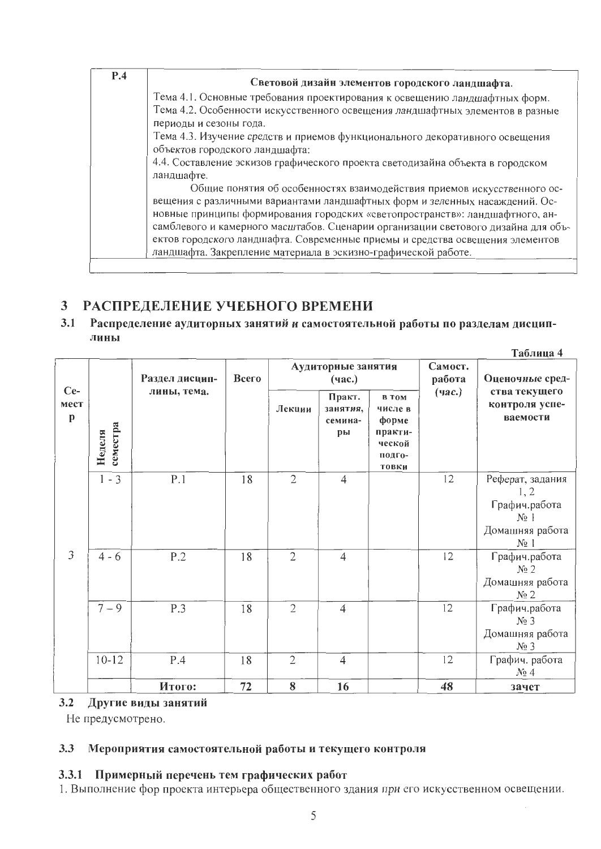| P.4 | Световой дизайн элементов городского ландшафта.                                   |
|-----|-----------------------------------------------------------------------------------|
|     | Тема 4.1. Основные требования проектирования к освещению ландшафтных форм.        |
|     | Тема 4.2. Особенности искусственного освещения ландшафтных элементов в разные     |
|     | периоды и сезоны года.                                                            |
|     | Тема 4.3. Изучение средств и приемов функционального декоративного освещения      |
|     | объектов городского ландшафта:                                                    |
|     | 4.4. Составление эскизов графического проекта светодизайна объекта в городском    |
|     | ландшафте.                                                                        |
|     | Общие понятия об особенностях взаимодействия приемов искусственного ос-           |
|     | вещения с различными вариантами ландшафтных форм и зеленных насаждений. Ос-       |
|     | новные принципы формирования городских «светопространств»: ландшафтного, ан-      |
|     | самблевого и камерного масштабов. Сценарии организации светового дизайна для объ- |
|     | ектов городского ландшафта. Современные приемы и средства освещения элементов     |
|     | ландшафта. Закрепление материала в эскизно-графической работе.                    |

### РАСПРЕДЕЛЕНИЕ УЧЕБНОГО ВРЕМЕНИ  $\mathbf{3}$

### $3.1$ Распределение аудиторных занятий и самостоятельной работы по разделам дисциплины

|                    |                    |                |              |                |                                     |                                                                          |                   | Таблица 4                                                                        |
|--------------------|--------------------|----------------|--------------|----------------|-------------------------------------|--------------------------------------------------------------------------|-------------------|----------------------------------------------------------------------------------|
|                    |                    | Раздел дисцип- | <b>Bcero</b> |                | Аудиторные занятия<br>(час.)        |                                                                          | Самост.<br>работа | Оценочные сред-                                                                  |
| $Ce-$<br>мест<br>p | семестра<br>Неделя | лины, тема.    |              | Лекции         | Практ.<br>занятия,<br>семина-<br>pы | в том<br>числе в<br>форме<br>практи-<br>ческой<br>подго-<br><b>ТОВКИ</b> | $($ час. $)$      | ства текущего<br>контроля успе-<br>ваемости                                      |
|                    | $1 - 3$            | P.1            | 18           | $\overline{2}$ | 4                                   |                                                                          | 12                | Реферат, задания<br>1, 2<br>Графич.работа<br>$N_2$  <br>Домашняя работа<br>$N_2$ |
| 3                  | $4 - 6$            | P.2            | 18           | $\overline{2}$ | $\overline{4}$                      |                                                                          | 12                | Графич.работа<br>$N_2$ 2<br>Домашняя работа<br>N <sub>2</sub>                    |
|                    | $7 - 9$            | P.3            | 18           | $\overline{2}$ | $\overline{4}$                      |                                                                          | 12                | Графич.работа<br>$N_2$ 3<br>Домашняя работа<br>$N_2$ 3                           |
|                    | $10 - 12$          | P.4            | 18           | $\overline{2}$ | $\overline{4}$                      |                                                                          | 12                | Графич. работа<br>$N_2$ 4                                                        |
|                    |                    | Итого:         | 72           | 8              | 16                                  |                                                                          | 48                | зачет                                                                            |

# 3.2 Другие виды занятий

Не предусмотрено.

#### Мероприятия самостоятельной работы и текущего контроля  $3.3$

# 3.3.1 Примерный перечень тем графических работ

1. Выполнение фор проекта интерьера общественного здания при его искусственном освещении.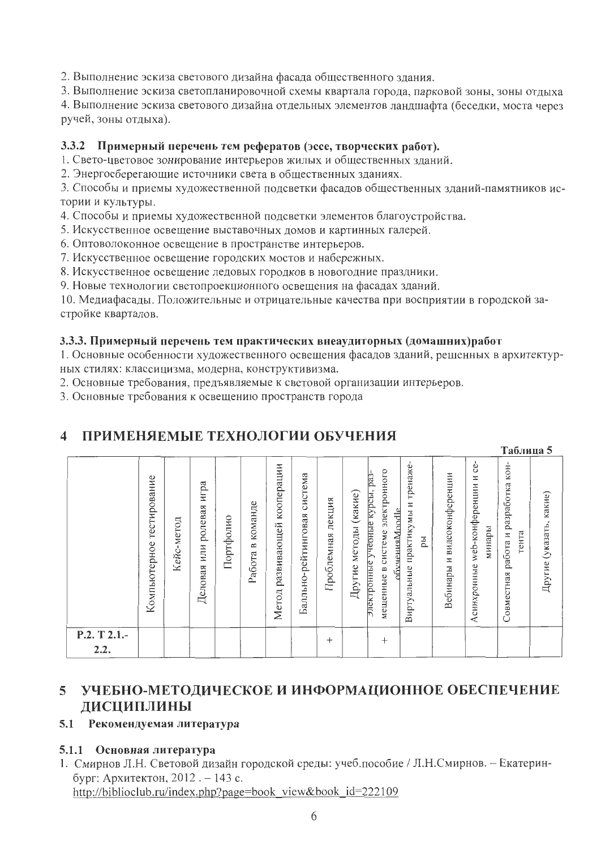2. Выполнение эскиза светового дизайна фасада общественного здания.

3. Выполнение эскиза светопланировочной схемы квартала города, парковой зоны, зоны отдыха

4. Выполнение эскиза светового дизайна отдельных элементов ландшафта (беседки, моста через ручей, зоны отдыха).

# 3.3.2 Примерный перечень тем рефератов (эссе, творческих работ).

1. Свето-цветовое зонирование интерьеров жилых и общественных зданий.

2. Энергосберегающие источники света в общественных зданиях.

3. Способы и приемы художественной подсветки фасадов общественных зданий-памятников истории и культуры.

4. Способы и приемы художественной подсветки элементов благоустройства.

5. Искусственное освещение выставочных домов и картинных галерей.

6. Оптоволоконное освещение в пространстве интерьеров.

7. Искусственное освещение городских мостов и набережных.

8. Искусственное освещение ледовых городков в новогодние праздники.

9. Новые технологии светопроекционного освещения на фасадах зданий.

10. Медиафасады. Положительные и отрицательные качества при восприятии в городской застройке кварталов.

# 3.3.3. Примерный перечень тем практических внеаудиторных (домашних) работ

1. Основные особенности художественного освещения фасадов зданий, решенных в архитектурных стилях: классицизма, модерна, конструктивизма.

2. Основные требования, предъявляемые к световой организации интерьеров.

3. Основные требования к освещению пространств города

### ПРИМЕНЯЕМЫЕ ТЕХНОЛОГИИ ОБУЧЕНИЯ  $\blacktriangle$

|                      |                              |                |                                      |           |                                   |                                    |                                |                      |                                   |                                                                                                                      |                                                 |                                   |                                                    | Таблица 5                                          |                         |
|----------------------|------------------------------|----------------|--------------------------------------|-----------|-----------------------------------|------------------------------------|--------------------------------|----------------------|-----------------------------------|----------------------------------------------------------------------------------------------------------------------|-------------------------------------------------|-----------------------------------|----------------------------------------------------|----------------------------------------------------|-------------------------|
|                      | тестирование<br>Компьютерное | метод<br>Кейс. | pa<br>Е<br>ролевая<br>ИЛИ<br>Деловая | Портфолио | команде<br>$\mathbf{u}$<br>Работа | кооперации<br>развивающей<br>Метод | система<br>Балльно-рейтинговая | лекция<br>Проблемная | $(ka$ кие $)$<br>методы<br>Другие | электронного<br>$0a3$<br>учесные курсы,<br><b>обучения</b> Moodle<br>системе<br>электронные<br>$\approx$<br>мещенные | тренаже<br>И<br>практикумы<br>pы<br>Виртуальные | видеоконференции<br>И<br>Вебинары | Ġ<br>N<br>web-конференции<br>минары<br>Асинхронные | KOH-<br>работа и разработка<br>тента<br>Совместная | Другие (указать, какие) |
| P.2. T 2.1.-<br>2.2. |                              |                |                                      |           |                                   |                                    |                                | $^{+}$               |                                   | $^+$                                                                                                                 |                                                 |                                   |                                                    |                                                    |                         |

### УЧЕБНО-МЕТОДИЧЕСКОЕ И ИНФОРМАЦИОННОЕ ОБЕСПЕЧЕНИЕ  $5<sup>5</sup>$ ДИСЦИПЛИНЫ

# 5.1 Рекомендуемая литература

# 5.1.1 Основная литература

1. Смирнов Л.Н. Световой дизайн городской среды: учеб.пособие / Л.Н.Смирнов. - Екатеринбург: Архитектон, 2012. - 143 с.

http://biblioclub.ru/index.php?page=book view&book id=222109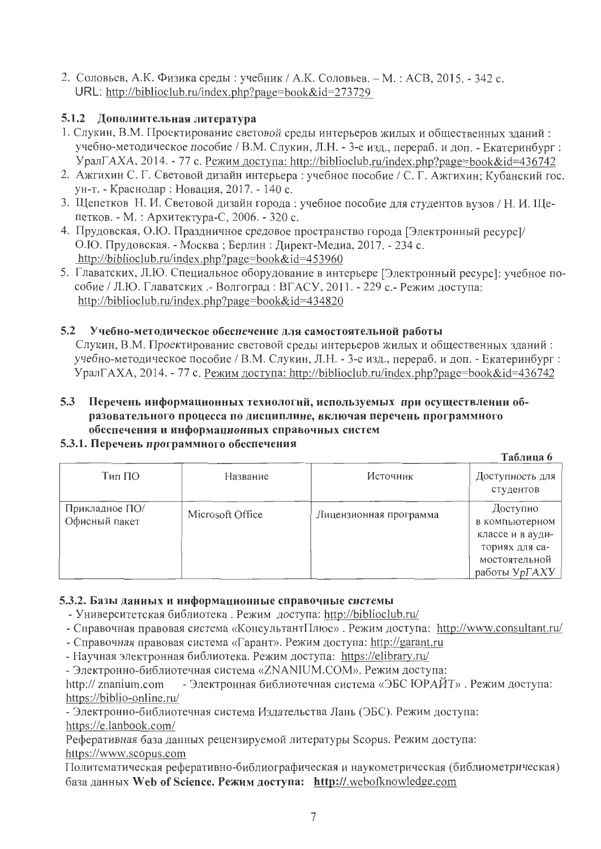2. Соловьев, А.К. Физика среды: учебник / А.К. Соловьев. - М.: АСВ, 2015. - 342 с. URL: http://biblioclub.ru/index.php?page=book&id=273729

# 5.1.2 Дополнительная литература

- 1. Слукин, В.М. Проектирование световой среды интерьеров жилых и общественных зданий: учебно-методическое пособие / В.М. Слукин, Л.Н. - 3-е изд., перераб. и доп. - Екатеринбург: УралГАХА, 2014. - 77 с. Режим доступа: http://biblioclub.ru/index.php?page=book&id=436742
- 2. Ажгихин С. Г. Световой дизайн интерьера: учебное пособие / С. Г. Ажгихин; Кубанский гос. ун-т. - Краснодар: Новация, 2017. - 140 с.
- 3. Щепетков Н. И. Световой дизайн города: учебное пособие для студентов вузов / Н. И. Щепетков. - М.: Архитектура-С, 2006. - 320 с.
- 4. Прудовская, О.Ю. Праздничное средовое пространство города [Электронный ресурс]/ О.Ю. Прудовская. - Москва; Берлин: Директ-Медиа, 2017. - 234 с. http://biblioclub.ru/index.php?page=book&id=453960
- 5. Главатских, Л.Ю. Специальное оборудование в интерьере [Электронный ресурс]: учебное пособие / Л.Ю. Главатских .- Волгоград: ВГАСУ, 2011. - 229 с.- Режим доступа: http://biblioclub.ru/index.php?page=book&id=434820

#### $5.2$ Учебно-методическое обеспечение для самостоятельной работы

Слукин, В.М. Проектирование световой среды интерьеров жилых и общественных зданий: учебно-методическое пособие / В.М. Слукин, Л.Н. - 3-е изд., перераб. и доп. - Екатеринбург: УралГАХА, 2014. - 77 с. Режим доступа: http://biblioclub.ru/index.php?page=book&id=436742

# 5.3 Перечень информационных технологий, используемых при осуществлении образовательного процесса по дисциплине, включая перечень программного обеспечения и информационных справочных систем

# 5.3.1. Перечень программного обеспечения

Таблина 6

| Тип ПО                          | Название         | Источник               | Доступность для<br>студентов                                                                       |
|---------------------------------|------------------|------------------------|----------------------------------------------------------------------------------------------------|
| Прикладное ПО/<br>Офисный пакет | Microsoft Office | Лицензионная программа | Доступно<br>в компьютерном<br>классе и в ауди-<br>ториях для са-<br>мостоятельной<br>работы УрГАХУ |

# 5.3.2. Базы данных и информационные справочные системы

- Университетская библиотека. Режим доступа: http://biblioclub.ru/
- Справочная правовая система «КонсультантПлюс». Режим доступа: http://www.consultant.ru/
- Справочная правовая система «Гарант». Режим доступа: http://garant.ru
- Научная электронная библиотека. Режим доступа: https://elibrary.ru/

- Электронно-библиотечная система «ZNANIUM.COM». Режим доступа:

- Электронная библиотечная система «ЭБС ЮРАЙТ». Режим доступа: http:// znanium.com https://biblio-online.ru/

- Электронно-библиотечная система Издательства Лань (ЭБС). Режим доступа: https://e.lanbook.com/

Реферативная база данных рецензируемой литературы Scopus. Режим доступа: https://www.scopus.com

Политематическая реферативно-библиографическая и наукометрическая (библиометрическая) база данных Web of Science. Режим доступа: http://.webofknowledge.com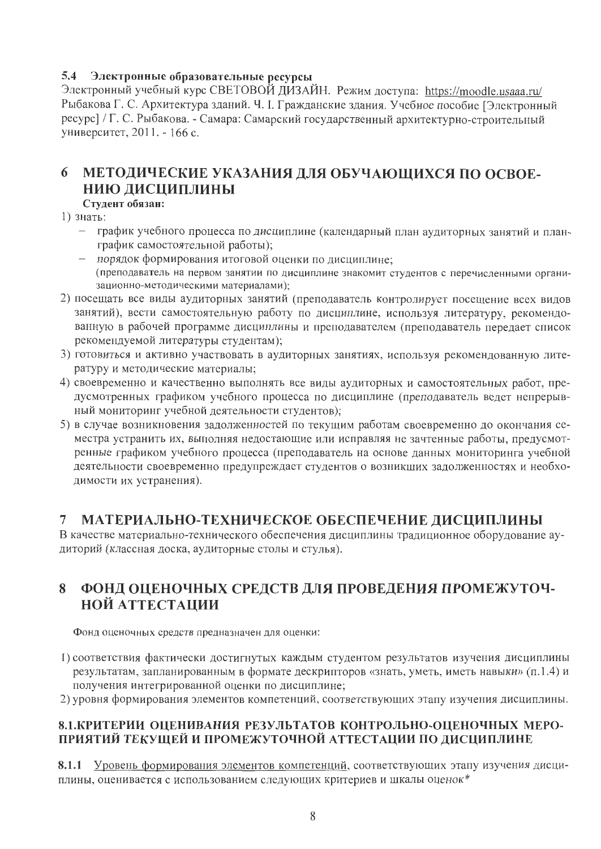# 5.4 Электронные образовательные ресурсы

Электронный учебный курс СВЕТОВОЙ ДИЗАЙН. Режим доступа: https://moodle.usaaa.ru/ Рыбакова Г. С. Архитектура зданий. Ч. І. Гражданские здания. Учебное пособие [Электронный ресурс] / Г. С. Рыбакова. - Самара: Самарский государственный архитектурно-строительный университет, 2011. - 166 с.

# 6 МЕТОДИЧЕСКИЕ УКАЗАНИЯ ДЛЯ ОБУЧАЮЩИХСЯ ПО ОСВОЕ-НИЮ ДИСЦИПЛИНЫ

# Студент обязан:

1) знать:

- график учебного процесса по дисциплине (календарный план аудиторных занятий и планграфик самостоятельной работы);
- порядок формирования итоговой оценки по дисциплине; (преподаватель на первом занятии по дисциплине знакомит студентов с перечисленными организационно-методическими материалами);
- 2) посещать все виды аудиторных занятий (преподаватель контролирует посещение всех видов занятий), вести самостоятельную работу по дисциплине, используя литературу, рекомендованную в рабочей программе дисциплины и преподавателем (преподаватель передает список рекомендуемой литературы студентам);
- 3) готовиться и активно участвовать в аудиторных занятиях, используя рекомендованную литературу и методические материалы;
- 4) своевременно и качественно выполнять все виды аудиторных и самостоятельных работ, предусмотренных графиком учебного процесса по дисциплине (преподаватель ведет непрерывный мониторинг учебной деятельности студентов);
- 5) в случае возникновения задолженностей по текущим работам своевременно до окончания семестра устранить их, выполняя недостающие или исправляя не зачтенные работы, предусмотренные графиком учебного процесса (преподаватель на основе данных мониторинга учебной деятельности своевременно предупреждает студентов о возникших задолженностях и необходимости их устранения).

### $7<sup>7</sup>$ МАТЕРИАЛЬНО-ТЕХНИЧЕСКОЕ ОБЕСПЕЧЕНИЕ ДИСЦИПЛИНЫ

В качестве материально-технического обеспечения дисциплины традиционное оборудование аудиторий (классная доска, аудиторные столы и стулья).

# 8 ФОНД ОЦЕНОЧНЫХ СРЕДСТВ ДЛЯ ПРОВЕДЕНИЯ ПРОМЕЖУТОЧ-НОЙ АТТЕСТАЦИИ

Фонд оценочных средств предназначен для оценки:

- 1) соответствия фактически достигнутых каждым студентом результатов изучения дисциплины результатам, запланированным в формате дескрипторов «знать, уметь, иметь навыки» (п.1.4) и получения интегрированной оценки по дисциплине;
- 2) уровня формирования элементов компетенций, соответствующих этапу изучения дисциплины.

# 8.1. КРИТЕРИИ ОПЕНИВАНИЯ РЕЗУЛЬТАТОВ КОНТРОЛЬНО-ОЦЕНОЧНЫХ МЕРО-ПРИЯТИЙ ТЕКУЩЕЙ И ПРОМЕЖУТОЧНОЙ АТТЕСТАЦИИ ПО ДИСЦИПЛИНЕ

8.1.1 Уровень формирования элементов компетенций, соответствующих этапу изучения дисциплины, оценивается с использованием следующих критериев и шкалы оценок\*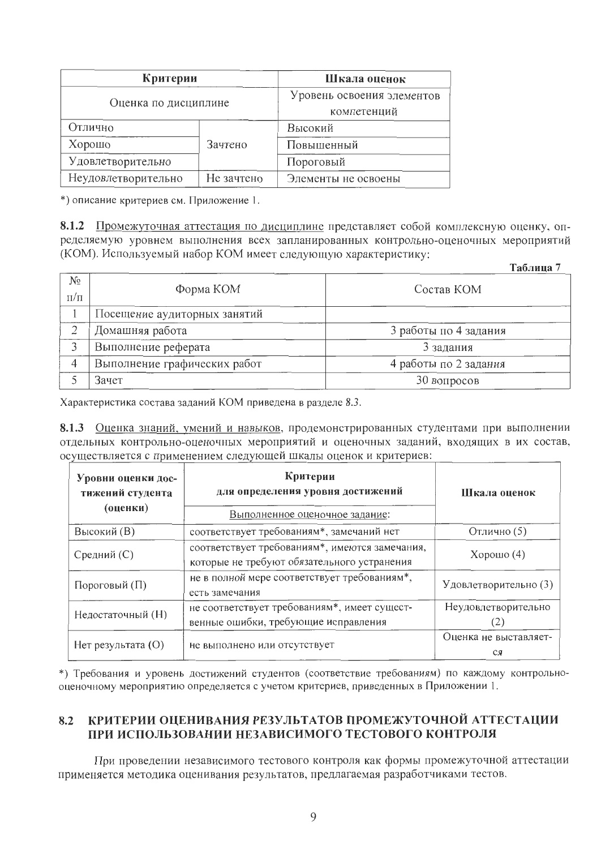| Критерии             | Шкала оценок                              |                     |
|----------------------|-------------------------------------------|---------------------|
| Оценка по дисциплине | Уровень освоения элементов<br>компетенций |                     |
| Отлично              |                                           | Высокий             |
| Хорошо               | Зачтено                                   | Повышенный          |
| Удовлетворительно    |                                           | Пороговый           |
| Неудовлетворительно  | Не зачтено                                | Элементы не освоены |

\*) описание критериев см. Приложение 1.

8.1.2 Промежуточная аттестация по дисциплине представляет собой комплексную оценку, определяемую уровнем выполнения всех запланированных контрольно-оценочных мероприятий (КОМ). Используемый набор КОМ имеет следующую характеристику:  $\mathbb{R}$   $\mathbb{R}$   $\mathbb{R}$   $\mathbb{R}$ 

|                      |                              | 1 аолица              |
|----------------------|------------------------------|-----------------------|
| $N_{2}$<br>$\Pi/\Pi$ | Форма КОМ                    | Состав КОМ            |
|                      | Посещение аудиторных занятий |                       |
|                      | Домашняя работа              | 3 работы по 4 задания |
|                      | Выполнение реферата          | 3 задания             |
| 4                    | Выполнение графических работ | 4 работы по 2 задания |
|                      | Зачет                        | 30 вопросов           |

Характеристика состава заданий КОМ приведена в разделе 8.3.

8.1.3 Оценка знаний, умений и навыков, продемонстрированных студентами при выполнении отдельных контрольно-оценочных мероприятий и оценочных заданий, входящих в их состав, осуществляется с применением следующей шкалы оценок и критериев:

| Уровни оценки дос-<br>тижений студента<br>(оценки) | Критерии<br>для определения уровня достижений<br>Выполненное оценочное задание:               | Шкала оценок                |  |
|----------------------------------------------------|-----------------------------------------------------------------------------------------------|-----------------------------|--|
| Высокий (В)                                        | соответствует требованиям*, замечаний нет                                                     | Отлично (5)                 |  |
| Средний (С)                                        | соответствует требованиям*, имеются замечания,<br>которые не требуют обязательного устранения |                             |  |
| Пороговый (П)                                      | не в полной мере соответствует требованиям*,<br>есть замечания                                |                             |  |
| Недостаточный (Н)                                  | не соответствует требованиям*, имеет сущест-<br>венные ошибки, требующие исправления          |                             |  |
| Нет результата (O)                                 | не выполнено или отсутствует                                                                  | Оценка не выставляет-<br>СЯ |  |

\*) Требования и уровень достижений студентов (соответствие требованиям) по каждому контрольнооценочному мероприятию определяется с учетом критериев, приведенных в Приложении 1.

### 8.2 КРИТЕРИИ ОЦЕНИВАНИЯ РЕЗУЛЬТАТОВ ПРОМЕЖУТОЧНОЙ АТТЕСТАЦИИ ПРИ ИСПОЛЬЗОВАНИИ НЕЗАВИСИМОГО ТЕСТОВОГО КОНТРОЛЯ

При проведении независимого тестового контроля как формы промежуточной аттестации применяется методика оценивания результатов, предлагаемая разработчиками тестов.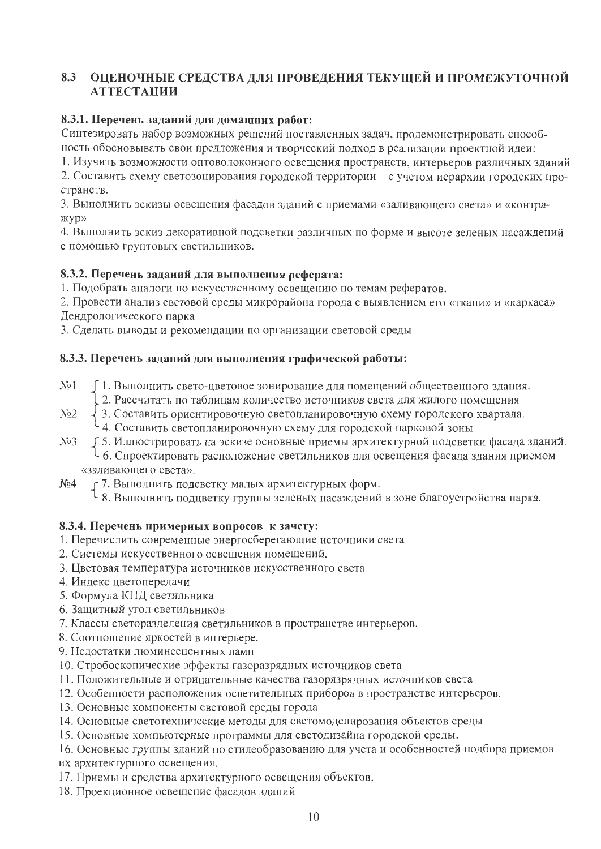# 8.3 ОЦЕНОЧНЫЕ СРЕДСТВА ДЛЯ ПРОВЕДЕНИЯ ТЕКУЩЕЙ И ПРОМЕЖУТОЧНОЙ **АТТЕСТАЦИИ**

# 8.3.1. Перечень заданий для домашних работ:

Синтезировать набор возможных решений поставленных задач, продемонстрировать способность обосновывать свои предложения и творческий подход в реализации проектной идеи:

1. Изучить возможности оптоволоконного освещения пространств, интерьеров различных зданий

2. Составить схему светозонирования городской территории - с учетом иерархии городских пространств.

3. Выполнить эскизы освещения фасадов зданий с приемами «заливающего света» и «контражyр»

4. Выполнить эскиз декоративной подсветки различных по форме и высоте зеленых насаждений с помощью грунтовых светильников.

# 8.3.2. Перечень заданий для выполнения реферата:

1. Подобрать аналоги по искусственному освещению по темам рефератов.

2. Провести анализ световой среды микрорайона города с выявлением его «ткани» и «каркаса» Дендрологического парка

3. Сделать выводы и рекомендации по организации световой среды

# 8.3.3. Перечень заданий для выполнения графической работы:

- ∫ 1. Выполнить свето-цветовое зонирование для помещений общественного здания.  $N_2$  1
	- 1 С. Рассчитать по таблицам количество источников света для жилого помещения
- 3. Составить ориентировочную светопланировочную схему городского квартала.  $N<sub>0</sub>2$ 
	- 4. Составить светопланировочную схему для городской парковой зоны
- ∫5. Иллюстрировать на эскизе основные приемы архитектурной подсветки фасада зданий.  $N<sub>0</sub>3$ 1 6. Спроектировать расположение светильников для освещения фасада здания приемом «заливающего света».
- 57. Выполнить подсветку малых архитектурных форм.  $N<sub>2</sub>4$

J 8. Выполнить подцветку группы зеленых насаждений в зоне благоустройства парка.

# 8.3.4. Перечень примерных вопросов к зачету:

- 1. Перечислить современные энергосберегающие источники света
- 2. Системы искусственного освещения помещений.
- 3. Цветовая температура источников искусственного света
- 4. Индекс цветопередачи
- 5. Формула КПД светильника
- 6. Защитный угол светильников
- 7. Классы светоразделения светильников в пространстве интерьеров.
- 8. Соотношение яркостей в интерьере.
- 9. Недостатки люминесцентных ламп
- 10. Стробоскопические эффекты газоразрядных источников света
- 11. Положительные и отрицательные качества газорязрядных источников света
- 12. Особенности расположения осветительных приборов в пространстве интерьеров.
- 13. Основные компоненты световой среды города
- 14. Основные светотехнические методы для светомоделирования объектов среды
- 15. Основные компьютерные программы для светодизайна городской среды.
- 16. Основные группы зданий по стилеобразованию для учета и особенностей подбора приемов
- их архитектурного освещения.
- 17. Приемы и средства архитектурного освещения объектов.
- 18. Проекционное освещение фасадов зданий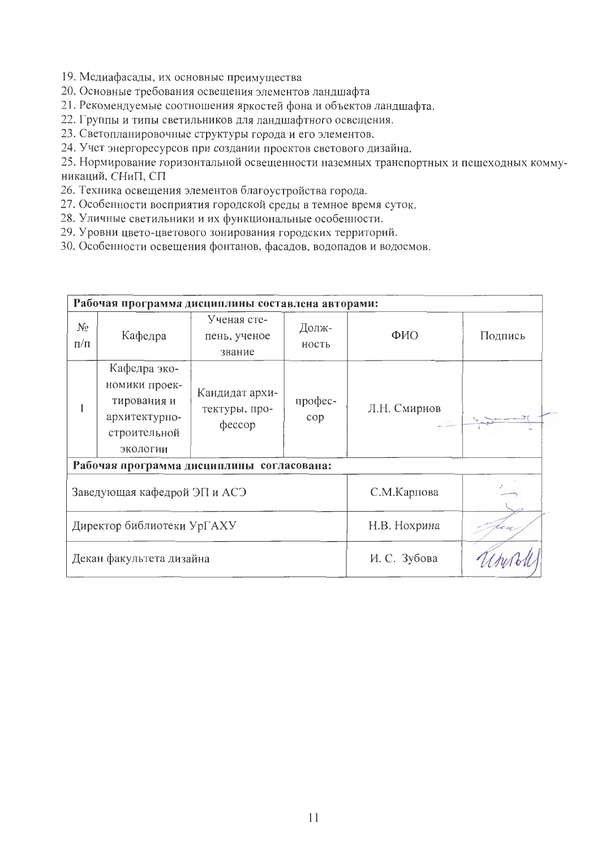- 19. Медиафасады, их основные преимущества
- 20. Основные требования освещения элементов ландшафта
- 21. Рекомендуемые соотношения яркостей фона и объектов ландшафта.
- 22. Группы и типы светильников для ландшафтного освещения.
- 23. Светопланировочные структуры города и его элементов.
- 24. Учет энергоресурсов при создании проектов светового дизайна.

25. Нормирование горизонтальной освещенности наземных транспортных и пешеходных коммуникаций, СНиП, СП

- 26. Техника освещения элементов благоустройства города.
- 27. Особенности восприятия городской среды в темное время суток.
- 28. Уличные светильники и их функциональные особенности.
- 29. Уровни цвето-цветового зонирования городских территорий.
- 30. Особенности освещения фонтанов, фасадов, водопадов и водоемов.

|                                           |                                                                                           | Рабочая программа дисциплины составлена авторами: |                |                        |         |  |  |  |
|-------------------------------------------|-------------------------------------------------------------------------------------------|---------------------------------------------------|----------------|------------------------|---------|--|--|--|
| $N_2$<br>$\Pi/\Pi$                        | Кафедра                                                                                   | Ученая сте-<br>пень, ученое<br>звание             | Долж-<br>ность | ФИО                    | Подпись |  |  |  |
|                                           | Кафедра эко-<br>номики проек-<br>тирования и<br>архитектурно-<br>строительной<br>экологии | Кандидат архи-<br>тектуры, про-<br>$\phi$ eccop   | профес-<br>cop | Л.Н. Смирнов<br>$\sim$ |         |  |  |  |
| Рабочая программа дисциплины согласована: |                                                                                           |                                                   |                |                        |         |  |  |  |
| Заведующая кафедрой ЭП и АСЭ              |                                                                                           |                                                   | С.М.Карпова    |                        |         |  |  |  |
| Директор библиотеки УрГАХУ                |                                                                                           |                                                   | Н.В. Нохрина   |                        |         |  |  |  |
| Декан факультета дизайна                  |                                                                                           |                                                   | И. С. Зубова   |                        |         |  |  |  |